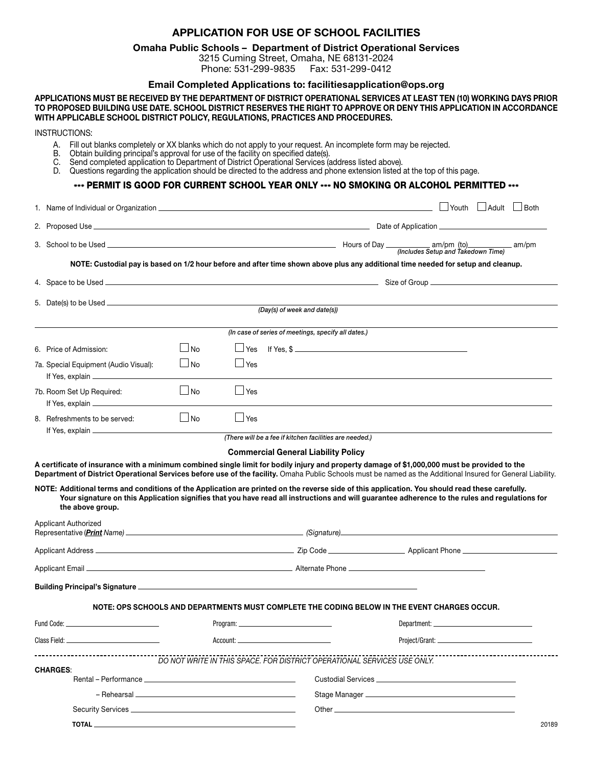## APPLICATION FOR USE OF SCHOOL FACILITIES

## Omaha Public Schools – Department of District Operational Services

3215 Cuming Street, Omaha, NE 68131-2024 Phone: 531-299-9835 Fax: 531-299-0412

## Email Completed Applications to: [facilitiesapplication@ops.org](mailto:?subject=)

APPLICATIONS MUST BE RECEIVED BY THE DEPARTMENT OF DISTRICT OPERATIONAL SERVICES AT LEAST TEN (10) WORKING DAYS PRIOR TO PROPOSED BUILDING USE DATE. SCHOOL DISTRICT RESERVES THE RIGHT TO APPROVE OR DENY THIS APPLICATION IN ACCORDANCE WITH APPLICABLE SCHOOL DISTRICT POLICY, REGULATIONS, PRACTICES AND PROCEDURES.

INSTRUCTIONS:

- A. Fill out blanks completely or XX blanks which do not apply to your request. An incomplete form may be rejected.
- B. Obtain building principal's approval for use of the facility on specified date(s).
- C. Send completed application to Department of District Operational Services (address listed above).
- D. Questions regarding the application should be directed to the address and phone extension listed at the top of this page.

\*\*\* PERMIT IS GOOD FOR CURRENT SCHOOL YEAR ONLY \*\*\* NO SMOKING OR ALCOHOL PERMITTED \*\*\*

|                                                                                                                                                                                                                                                             | 1. Name of Individual or Organization <b>Constitution</b> and the extent of the extent of the extent of the extent of the extent of the extent of the extent of the extent of the extent of the extent of the extent of the extent                                                                                                                                                                                                                                                  |           |            |                                                                                                                                   |                | $\Box$ Youth $\Box$ Adult $\Box$ Both |       |  |
|-------------------------------------------------------------------------------------------------------------------------------------------------------------------------------------------------------------------------------------------------------------|-------------------------------------------------------------------------------------------------------------------------------------------------------------------------------------------------------------------------------------------------------------------------------------------------------------------------------------------------------------------------------------------------------------------------------------------------------------------------------------|-----------|------------|-----------------------------------------------------------------------------------------------------------------------------------|----------------|---------------------------------------|-------|--|
|                                                                                                                                                                                                                                                             |                                                                                                                                                                                                                                                                                                                                                                                                                                                                                     |           |            |                                                                                                                                   |                |                                       |       |  |
|                                                                                                                                                                                                                                                             |                                                                                                                                                                                                                                                                                                                                                                                                                                                                                     |           |            |                                                                                                                                   |                |                                       |       |  |
|                                                                                                                                                                                                                                                             |                                                                                                                                                                                                                                                                                                                                                                                                                                                                                     |           |            | NOTE: Custodial pay is based on 1/2 hour before and after time shown above plus any additional time needed for setup and cleanup. |                |                                       |       |  |
|                                                                                                                                                                                                                                                             |                                                                                                                                                                                                                                                                                                                                                                                                                                                                                     |           |            |                                                                                                                                   |                |                                       |       |  |
|                                                                                                                                                                                                                                                             | (Day(s) of week and date(s))                                                                                                                                                                                                                                                                                                                                                                                                                                                        |           |            |                                                                                                                                   |                |                                       |       |  |
|                                                                                                                                                                                                                                                             |                                                                                                                                                                                                                                                                                                                                                                                                                                                                                     |           |            |                                                                                                                                   |                |                                       |       |  |
|                                                                                                                                                                                                                                                             |                                                                                                                                                                                                                                                                                                                                                                                                                                                                                     |           |            | (In case of series of meetings, specify all dates.)                                                                               |                |                                       |       |  |
|                                                                                                                                                                                                                                                             | 6. Price of Admission:                                                                                                                                                                                                                                                                                                                                                                                                                                                              | $\Box$ No | <b>Yes</b> | If Yes. $\frac{1}{2}$                                                                                                             |                |                                       |       |  |
|                                                                                                                                                                                                                                                             | 7a. Special Equipment (Audio Visual):                                                                                                                                                                                                                                                                                                                                                                                                                                               | $\Box$ No | ∣ ⊥Yes     |                                                                                                                                   |                |                                       |       |  |
|                                                                                                                                                                                                                                                             | 7b. Room Set Up Required:                                                                                                                                                                                                                                                                                                                                                                                                                                                           | $\Box$ No | $\Box$ Yes |                                                                                                                                   |                |                                       |       |  |
|                                                                                                                                                                                                                                                             | 8. Refreshments to be served:                                                                                                                                                                                                                                                                                                                                                                                                                                                       | $\Box$ No | $\Box$ Yes |                                                                                                                                   |                |                                       |       |  |
|                                                                                                                                                                                                                                                             |                                                                                                                                                                                                                                                                                                                                                                                                                                                                                     |           |            | (There will be a fee if kitchen facilities are needed.)                                                                           |                |                                       |       |  |
|                                                                                                                                                                                                                                                             | Department of District Operational Services before use of the facility. Omaha Public Schools must be named as the Additional Insured for General Liability.<br>NOTE: Additional terms and conditions of the Application are printed on the reverse side of this application. You should read these carefully.<br>Your signature on this Application signifies that you have read all instructions and will guarantee adherence to the rules and regulations for<br>the above group. |           |            |                                                                                                                                   |                |                                       |       |  |
| Applicant Authorized<br>Representative (Print Name) <u>Contract Communication</u> (Signature) Communication Communication Communication Communication Communication Communication Communication Communication Communication Communication Communication Com |                                                                                                                                                                                                                                                                                                                                                                                                                                                                                     |           |            |                                                                                                                                   |                |                                       |       |  |
|                                                                                                                                                                                                                                                             |                                                                                                                                                                                                                                                                                                                                                                                                                                                                                     |           |            |                                                                                                                                   |                |                                       |       |  |
|                                                                                                                                                                                                                                                             | Applicant Email <b>Applicant Email</b> Alternate Phone <b>Alternate Phone Account 2014</b>                                                                                                                                                                                                                                                                                                                                                                                          |           |            |                                                                                                                                   |                |                                       |       |  |
|                                                                                                                                                                                                                                                             | Building Principal's Signature <b>Constitution of the Constitution</b> Constitution of the Constitution of the Constitution of the Constitution of the Constitution of the Constitution of the Constitution of the Constitution of                                                                                                                                                                                                                                                  |           |            |                                                                                                                                   |                |                                       |       |  |
|                                                                                                                                                                                                                                                             |                                                                                                                                                                                                                                                                                                                                                                                                                                                                                     |           |            | NOTE: OPS SCHOOLS AND DEPARTMENTS MUST COMPLETE THE CODING BELOW IN THE EVENT CHARGES OCCUR.                                      |                |                                       |       |  |
|                                                                                                                                                                                                                                                             | Fund Code: __<br>Program: ____                                                                                                                                                                                                                                                                                                                                                                                                                                                      |           |            |                                                                                                                                   | Department: __ |                                       |       |  |
|                                                                                                                                                                                                                                                             |                                                                                                                                                                                                                                                                                                                                                                                                                                                                                     |           |            |                                                                                                                                   |                |                                       |       |  |
|                                                                                                                                                                                                                                                             | -------------------------                                                                                                                                                                                                                                                                                                                                                                                                                                                           |           |            | DO NOT WRITE IN THIS SPACE. FOR DISTRICT OPERATIONAL SERVICES USE ONLY.                                                           |                |                                       |       |  |
| <b>CHARGES:</b><br>Rental – Performance Letter and the contract of the contract of the contract of the contract of the contract of                                                                                                                          |                                                                                                                                                                                                                                                                                                                                                                                                                                                                                     |           |            |                                                                                                                                   |                |                                       |       |  |
|                                                                                                                                                                                                                                                             |                                                                                                                                                                                                                                                                                                                                                                                                                                                                                     |           |            |                                                                                                                                   |                |                                       |       |  |
|                                                                                                                                                                                                                                                             |                                                                                                                                                                                                                                                                                                                                                                                                                                                                                     |           |            |                                                                                                                                   |                |                                       |       |  |
|                                                                                                                                                                                                                                                             |                                                                                                                                                                                                                                                                                                                                                                                                                                                                                     |           |            |                                                                                                                                   |                |                                       | 20189 |  |